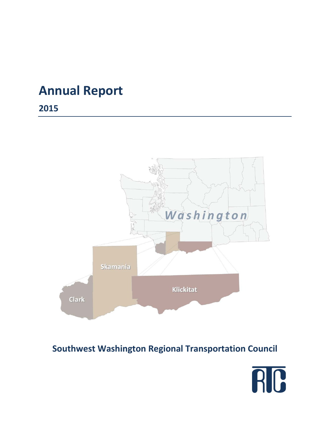# **Annual Report**

**2015**



# **Southwest Washington Regional Transportation Council**

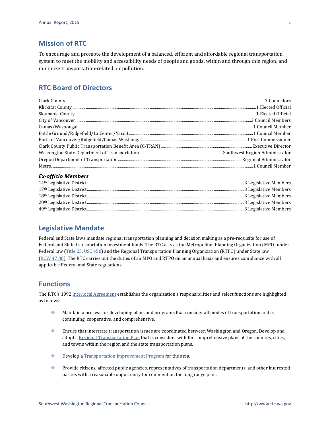### **Mission of RTC**

To encourage and promote the development of a balanced, efficient and affordable regional transportation system to meet the mobility and accessibility needs of people and goods, within and through this region, and minimize transportation-related air pollution.

### **RTC Board of Directors**

#### *Ex-officio Members*

### **Legislative Mandate**

Federal and State laws mandate regional transportation planning and decision making as a pre-requisite for use of Federal and State transportation investment funds. The RTC acts as the Metropolitan Planning Organization (MPO) under Federal law [\(Title 23, USC 450\)](http://www.gpo.gov/fdsys/granule/CFR-2004-title23-vol1/CFR-2004-title23-vol1-part450/content-detail.html) and the Regional Transportation Planning Organization (RTPO) under State law (RCW [47.80\)](http://apps.leg.wa.gov/rcw/default.aspx?cite=47.80&full=true). The RTC carries out the duties of an MPO and RTPO on an annual basis and ensures compliance with all applicable Federal and State regulations.

#### **Functions**

The RTC's 1992 [lnterlocal Agreement](http://www.rtc.wa.gov/agency/docs/RTC-Interlocal19920701.pdf) establishes the organization's responsibilities and select functions are highlighted as follows:

- Maintain a process for developing plans and programs that consider all modes of transportation and is continuing, cooperative, and comprehensive.
- Ensure that interstate transportation issues are coordinated between Washington and Oregon. Develop and adopt [a Regional Transportation Plan](http://www.rtc.wa.gov/programs/rtp/) that is consistent with the comprehensive plans of the counties, cities, and towns within the region and the state transportation plans.
- **Develop a [Transportation Improvement Program](http://www.rtc.wa.gov/programs/tip/) for the area.**
- Provide citizens, affected public agencies, representatives of transportation departments, and other interested parties with a reasonable opportunity for comment on the long range plan.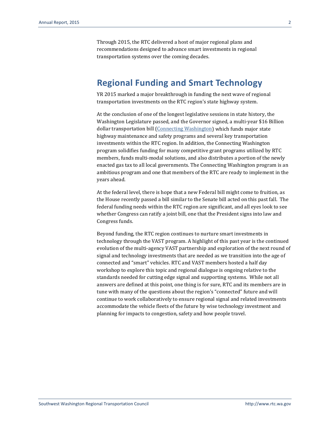Through 2015, the RTC delivered a host of major regional plans and recommendations designed to advance smart investments in regional transportation systems over the coming decades.

### **Regional Funding and Smart Technology**

YR 2015 marked a major breakthrough in funding the next wave of regional transportation investments on the RTC region's state highway system.

At the conclusion of one of the longest legislative sessions in state history, the Washington Legislature passed, and the Governor signed, a multi-year \$16 Billion dollar transportation bill [\(Connecting Washington\)](http://www.wsdot.wa.gov/Projects/Funding/CWA/) which funds major state highway maintenance and safety programs and several key transportation investments within the RTC region. In addition, the Connecting Washington program solidifies funding for many competitive grant programs utilized by RTC members, funds multi-modal solutions, and also distributes a portion of the newly enacted gas tax to all local governments. The Connecting Washington program is an ambitious program and one that members of the RTC are ready to implement in the years ahead.

At the federal level, there is hope that a new Federal bill might come to fruition, as the House recently passed a bill similar to the Senate bill acted on this past fall. The federal funding needs within the RTC region are significant, and all eyes look to see whether Congress can ratify a joint bill, one that the President signs into law and Congress funds.

Beyond funding, the RTC region continues to nurture smart investments in technology through the VAST program. A highlight of this past year is the continued evolution of the multi-agency VAST partnership and exploration of the next round of signal and technology investments that are needed as we transition into the age of connected and "smart" vehicles. RTC and VAST members hosted a half day workshop to explore this topic and regional dialogue is ongoing relative to the standards needed for cutting edge signal and supporting systems. While not all answers are defined at this point, one thing is for sure, RTC and its members are in tune with many of the questions about the region's "connected" future and will continue to work collaboratively to ensure regional signal and related investments accommodate the vehicle fleets of the future by wise technology investment and planning for impacts to congestion, safety and how people travel.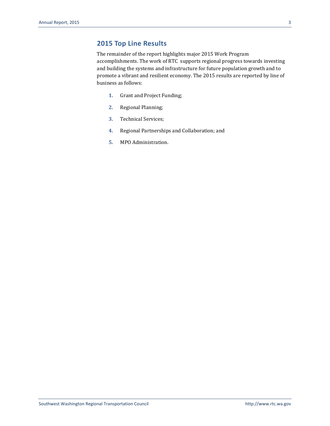### **2015 Top Line Results**

The remainder of the report highlights major 2015 Work Program accomplishments. The work of RTC supports regional progress towards investing and building the systems and infrastructure for future population growth and to promote a vibrant and resilient economy. The 2015 results are reported by line of business as follows:

- **1.** Grant and Project Funding;
- **2.** Regional Planning;
- **3.** Technical Services;
- **4.** Regional Partnerships and Collaboration; and
- **5.** MPO Administration.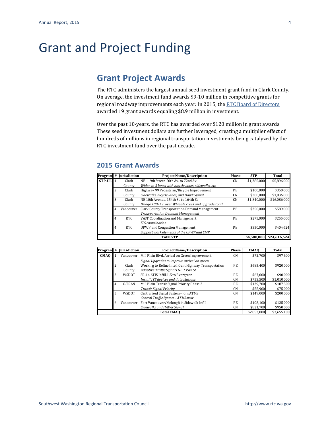# Grant and Project Funding

# **Grant Project Awards**

The RTC administers the largest annual seed investment grant fund in Clark County. On average, the investment fund awards \$9-10 million in competitive grants for regional roadway improvements each year. In 2015, th[e RTC Board of Directors](http://www.rtc.wa.gov/agency/board/) awarded 19 grant awards equaling \$8.9 million in investment.

Over the past 10-years, the RTC has awarded over \$120 million in grant awards. These seed investment dollars are further leveraged, creating a multiplier effect of hundreds of millions in regional transportation investments being catalyzed by the RTC investment fund over the past decade.

#### **2015 Grant Awards**

|        |   | Program # Jurisdiction | <b>Project Name/Description</b>                      | Phase     | <b>STP</b>  | Total        |
|--------|---|------------------------|------------------------------------------------------|-----------|-------------|--------------|
| STP-UL |   | Clark                  | NE 119th Street, 50th Av. to 72nd Av.                | <b>CN</b> | \$1,385,000 | \$5.896.000  |
|        |   | County                 | Widen to 3 lanes with bicycle lanes, sidewalks, etc. |           |             |              |
|        |   | Clark                  | Highway 99 Pedestrian/Bicycle Improvement            | PE.       | \$100,000   | \$350,000    |
|        |   | County                 | Sidewalks, bicycle lanes, and Hawk Signal            | <b>CN</b> | \$200.000   | \$1,036,000  |
|        | 3 | Clark                  | NE 10th Avenue. 154th St. to 164th St.               | CN.       | \$1.840.000 | \$16,086,000 |
|        |   | County                 | Bridge 10th Av. over Whipple creek and upgrade road  |           |             |              |
|        | 4 | Vancouver              | <b>Clark County Transportation Demand Management</b> | PE.       | \$350.000   | \$589.000    |
|        |   |                        | <b>Transportation Demand Management</b>              |           |             |              |
|        | 4 | RTC                    | VAST Coordination and Management                     | PE.       | \$275.000   | \$255.000    |
|        |   |                        | <b>ITS</b> coordination                              |           |             |              |
|        | 4 | <b>RTC</b>             | <b>UPWP</b> and Congestion Management                | PE        | \$350.000   | \$404.624    |
|        |   |                        | Support work elements of the UPWP and CMP            |           |             |              |
|        |   |                        | <b>Total STP</b>                                     |           | \$4,500,000 | \$24,616,624 |

|             |                | Program # Jurisdiction | <b>Project Name/Description</b>                      | Phase     | <b>CMAO</b> | Total       |
|-------------|----------------|------------------------|------------------------------------------------------|-----------|-------------|-------------|
| <b>CMAQ</b> |                | Vancouver              | Mill Plain Blyd. Arrival on Green Improvement        | <b>CN</b> | \$72,700    | \$97.600    |
|             |                |                        | Signal Upgrades to improve arrival on green          |           |             |             |
|             | $\overline{c}$ | Clark                  | Working to Refine IntelliGent Highway Transportation | PE.       | \$685.400   | \$920.000   |
|             |                | County                 | Adaptive Traffic Signals NE 139th St.                |           |             |             |
|             | 3              | WSDOT                  | SR-14 ATIS Infill, I-5 to Evergreen                  | PE.       | \$67.000    | \$90,000    |
|             |                |                        | Install ITS devices and data stations                | <b>CN</b> | \$753,500   | \$1,010,000 |
|             | 4              | C-TRAN                 | Mill Plain Transit Signal Priority Phase 2           | PE.       | \$139.700   | \$187,500   |
|             |                |                        | <b>Transit Signal Priority</b>                       | <b>CN</b> | \$55.900    | \$75.000    |
|             | 5              | WSDOT                  | Centralized Signal System - Join ATMS                | <b>CN</b> | \$149,000   | \$200.000   |
|             |                |                        | Central Traffic System - ATMS.now                    |           |             |             |
|             | 6              | Vancouver              | Fort Vancouver/Mcloughlin Sidewalk Infill            | PE        | \$108,100   | \$125.000   |
|             |                |                        | Sidewalks and HAWK Signal                            | <b>CN</b> | \$821,700   | \$950,000   |
|             |                |                        | <b>Total CMAO</b>                                    |           | \$2.853.000 | \$3.655.100 |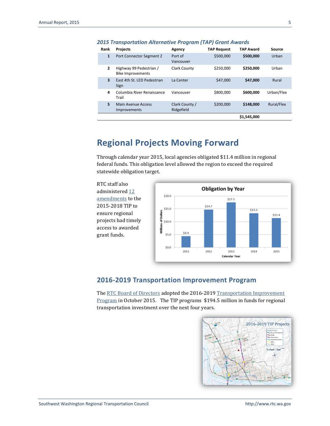| Rank                    | <b>Projects</b>                                     | Agency                       | <b>TAP Request</b> | <b>TAP Award</b> | Source     |
|-------------------------|-----------------------------------------------------|------------------------------|--------------------|------------------|------------|
| $\mathbf{1}$            | Port Connector Segment 2                            | Port of<br>Vancouver         | \$500,000          | \$500,000        | Urban      |
| $\overline{2}$          | Highway 99 Pedestrian /<br><b>Bike Improvements</b> | Clark County                 | \$250,000          | \$250,000        | Urban      |
| $\overline{\mathbf{3}}$ | East 4th St. LED Pedestrian<br>Sign                 | La Center                    | \$47,000           | \$47,000         | Rural      |
| 4                       | Columbia River Renaissance<br>Trail                 | Vancouver                    | \$800,000          | \$600,000        | Urban/Flex |
| 5                       | Main Avenue Access<br><b>Improvements</b>           | Clark County /<br>Ridgefield | \$200.000          | \$148,000        | Rural/Flex |
|                         |                                                     |                              |                    | \$1,545,000      |            |

#### *2015 Transportation Alternative Program (TAP) Grant Awards*

## **Regional Projects Moving Forward**

Through calendar year 2015, local agencies obligated \$11.4 million in regional federal funds. This obligation level allowed the region to exceed the required statewide obligation target.

RTC staff also administered [12](http://www.rtc.wa.gov/programs/tip/amendments/) [amendments](http://www.rtc.wa.gov/programs/tip/amendments/) to the 2015-2018 TIP to ensure regional projects had timely access to awarded grant funds.



### **2016-2019 Transportation Improvement Program**

Th[e RTC Board of Directors](http://www.rtc.wa.gov/agency/board/) adopted the 2016-2019 Transportation Improvement [Program](http://www.rtc.wa.gov/programs/tip/) in October 2015. The TIP programs \$194.5 million in funds for regional transportation investment over the next four years.

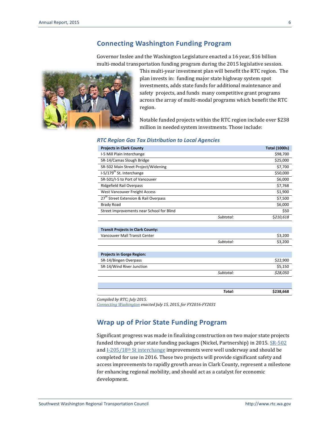#### **Connecting Washington Funding Program**

Governor Inslee and the Washington Legislature enacted a 16 year, \$16 billion multi-modal transportation funding program during the 2015 legislative session.



This multi-year investment plan will benefit the RTC region. The plan invests in: funding major state highway system spot investments, adds state funds for additional maintenance and safety projects, and funds many competitive grant programs across the array of multi-modal programs which benefit the RTC region.

Notable funded projects within the RTC region include over \$238 million in needed system investments. Those include:

#### *RTC Region Gas Tax Distribution to Local Agencies*

| <b>Projects in Clark County</b>                   |           | <b>Total (1000s)</b> |
|---------------------------------------------------|-----------|----------------------|
| I-5 Mill Plain Interchange                        |           | \$98,700             |
| SR-14/Camas Slough Bridge                         |           | \$25,000             |
| SR-502 Main Street Project/Widening               |           | \$7,700              |
| I-5/179 <sup>th</sup> St. Interchange             |           | \$50,000             |
| SR-501/I-5 to Port of Vancouver                   |           | \$6,000              |
| Ridgefield Rail Overpass                          |           | \$7,768              |
| West Vancouver Freight Access                     |           | \$1,900              |
| 27 <sup>th</sup> Street Extension & Rail Overpass |           | \$7,500              |
| <b>Brady Road</b>                                 |           | \$6,000              |
| Street Improvements near School for Blind         |           | \$50                 |
|                                                   | Subtotal: | \$210,618            |
|                                                   |           |                      |
| <b>Transit Projects in Clark County:</b>          |           |                      |
| Vancouver Mall Transit Center                     |           | \$3,200              |
|                                                   | Subtotal: | \$3,200              |
|                                                   |           |                      |
| <b>Projects in Gorge Region:</b>                  |           |                      |
| SR-14/Bingen Overpass                             |           | \$22,900             |
| SR-14/Wind River Junction                         |           | \$5,150              |
|                                                   | Subtotal: | \$28,050             |
|                                                   |           |                      |
|                                                   |           |                      |
|                                                   | Total:    | \$238,668            |

*Compiled by RTC; July 2015.*

*[Connecting Washington](http://www.wsdot.wa.gov/Projects/Funding/CWA/) enacted July 15, 2015, for FY2016-FY2031*

#### **Wrap up of Prior State Funding Program**

Significant progress was made in finalizing construction on two major state projects funded through prior state funding packages (Nickel, Partnership) in 2015. [SR-502](http://www.wsdot.wa.gov/projects/SR502/Widening/) and I-205/18th [St interchange](http://www.wsdot.wa.gov/projects/i205/millplainto18th/) improvements were well underway and should be completed for use in 2016. These two projects will provide significant safety and access improvements to rapidly growth areas in Clark County, represent a milestone for enhancing regional mobility, and should act as a catalyst for economic development.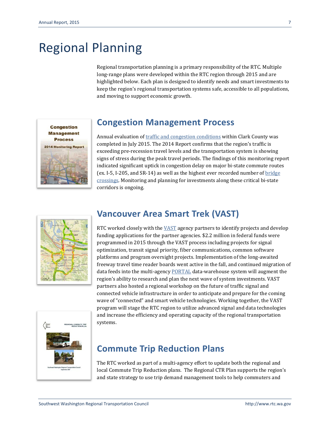# Regional Planning

Regional transportation planning is a primary responsibility of the RTC. Multiple long-range plans were developed within the RTC region through 2015 and are highlighted below. Each plan is designed to identify needs and smart investments to keep the region's regional transportation systems safe, accessible to all populations, and moving to support economic growth.



## **Congestion Management Process**

Annual evaluation o[f traffic and congestion conditions](http://www.rtc.wa.gov/programs/cmp/) within Clark County was completed in July 2015. The 2014 Report confirms that the region's traffic is exceeding pre-recession travel levels and the transportation system is showing signs of stress during the peak travel periods. The findings of this monitoring report indicated significant uptick in congestion delay on major bi-state commute routes (ex. I-5, I-205, and SR-14) as well as the highest ever recorded number o[f bridge](http://www.rtc.wa.gov/data/traffic/bridges/)  [crossings.](http://www.rtc.wa.gov/data/traffic/bridges/) Monitoring and planning for investments along these critical bi-state corridors is ongoing.



# **Vancouver Area Smart Trek (VAST)**

RTC worked closely with the [VAST](http://www.rtc.wa.gov/programs/vast/) agency partners to identify projects and develop funding applications for the partner agencies. \$2.2 million in federal funds were programmed in 2015 through the VAST process including projects for signal optimization, transit signal priority, fiber communications, common software platforms and program oversight projects. Implementation of the long-awaited freeway travel time reader boards went active in the fall, and continued migration of data feeds into the multi-agency [PORTAL](http://portal.its.pdx.edu/Portal/) data-warehouse system will augment the region's ability to research and plan the next wave of system investments. VAST partners also hosted a regional workshop on the future of traffic signal and connected vehicle infrastructure in order to anticipate and prepare for the coming wave of "connected" and smart vehicle technologies. Working together, the VAST program will stage the RTC region to utilize advanced signal and data technologies and increase the efficiency and operating capacity of the regional transportation systems.



## **Commute Trip Reduction Plans**

The RTC worked as part of a multi-agency effort to update both the regional and local Commute Trip Reduction plans. The Regional CTR Plan supports the region's and state strategy to use trip demand management tools to help commuters and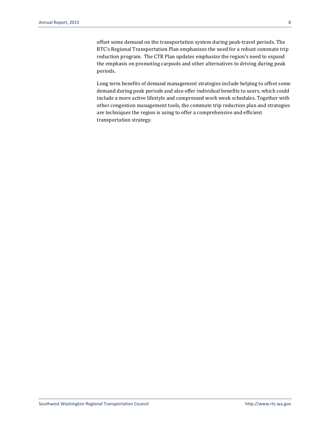offset some demand on the transportation system during peak-travel periods. The RTC's Regional Transportation Plan emphasizes the need for a robust commute trip reduction program. The CTR Plan updates emphasize the region's need to expand the emphasis on promoting carpools and other alternatives to driving during peak periods.

Long term benefits of demand management strategies include helping to offset some demand during peak periods and also offer individual benefits to users, which could include a more active lifestyle and compressed work week schedules. Together with other congestion management tools, the commute trip reduction plan and strategies are techniques the region is using to offer a comprehensive and efficient transportation strategy.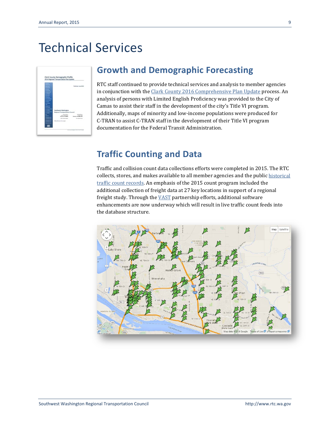# Technical Services

|                                                                       | Published June 2014           |
|-----------------------------------------------------------------------|-------------------------------|
|                                                                       |                               |
|                                                                       |                               |
|                                                                       |                               |
|                                                                       |                               |
|                                                                       |                               |
| <b>Southwest Washington</b><br><b>Regional Transportation Council</b> | e e s                         |
| 1. Teachings<br><b>DIRECTORES REGIST</b><br>Motivates, Mrs 440400     | To be the<br>-------          |
| <b>Real McAttage</b>                                                  | the detailed at the<br>503656 |

## **Growth and Demographic Forecasting**

RTC staff continued to provide technical services and analysis to member agencies in conjunction with the [Clark County 2016 Comprehensive Plan Update](http://www.clark.wa.gov/Planning/2016update/index.html) process. An analysis of persons with Limited English Proficiency was provided to the City of Camas to assist their staff in the development of the city's Title VI program. Additionally, maps of minority and low-income populations were produced for C-TRAN to assist C-TRAN staff in the development of their Title VI program documentation for the Federal Transit Administration.

## **Traffic Counting and Data**

Traffic and collision count data collections efforts were completed in 2015. The RTC collects, stores, and makes available to all member agencies and the publi[c historical](http://www.rtc.wa.gov/data/traffic/)  [traffic count records.](http://www.rtc.wa.gov/data/traffic/) An emphasis of the 2015 count program included the additional collection of freight data at 27 key locations in support of a regional freight study. Through the **VAST** partnership efforts, additional software enhancements are now underway which will result in live traffic count feeds into the database structure.

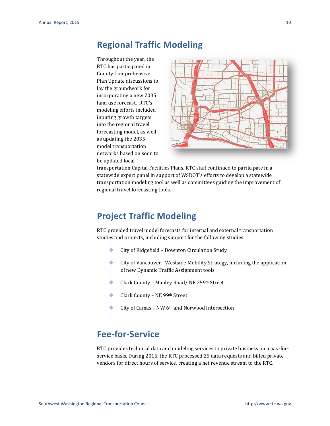## **Regional Traffic Modeling**

Throughout the year, the RTC has participated in County Comprehensive Plan Update discussions to lay the groundwork for incorporating a new 2035 land use forecast. RTC's modeling efforts included inputing growth targets into the regional travel forecasting model, as well as updating the 2035 model transportation networks based on soon to be updated local



transportation Capital Facilities Plans. RTC staff continued to participate in a statewide expert panel in support of WSDOT's efforts to develop a statewide transportation modeling tool as well as committees guiding the improvement of regional travel forecasting tools.

## **Project Traffic Modeling**

RTC provided travel model forecasts for internal and external transportation studies and projects, including support for the following studies:

- City of Ridgefield Downton Circulation Study
- City of Vancouver Westside Mobility Strategy, including the application of new Dynamic Traffic Assignment tools
- ◆ Clark County Manley Road/ NE 259<sup>th</sup> Street
- **Clark County NE 99th Street**
- City of Camas NW 6th and Norwood Intersection

## **Fee-for-Service**

RTC provides technical data and modeling services to private business on a pay-forservice basis. During 2015, the RTC processed 25 data requests and billed private vendors for direct hours of service, creating a net revenue stream to the RTC.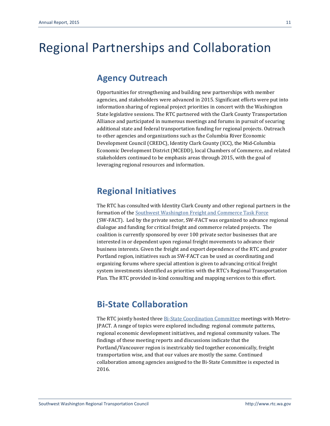# Regional Partnerships and Collaboration

## **Agency Outreach**

Opportunities for strengthening and building new partnerships with member agencies, and stakeholders were advanced in 2015. Significant efforts were put into information sharing of regional project priorities in concert with the Washington State legislative sessions. The RTC partnered with the Clark County Transportation Alliance and participated in numerous meetings and forums in pursuit of securing additional state and federal transportation funding for regional projects. Outreach to other agencies and organizations such as the Columbia River Economic Development Council (CREDC), Identity Clark County (ICC), the Mid-Columbia Economic Development District (MCEDD), local Chambers of Commerce, and related stakeholders continued to be emphasis areas through 2015, with the goal of leveraging regional resources and information.

## **Regional Initiatives**

The RTC has consulted with Identity Clark County and other regional partners in the formation of th[e Southwest Washington Freight and Commerce Task Force](http://identityclarkcounty.org/initiatives/freight-mobility/) (SW-FACT). Led by the private sector, SW-FACT was organized to advance regional dialogue and funding for critical freight and commerce related projects. The coalition is currently sponsored by over 100 private sector businesses that are interested in or dependent upon regional freight movements to advance their business interests. Given the freight and export dependence of the RTC and greater Portland region, initiatives such as SW-FACT can be used as coordinating and organizing forums where special attention is given to advancing critical freight system investments identified as priorities with the RTC's Regional Transportation Plan. The RTC provided in-kind consulting and mapping services to this effort.

# **Bi-State Collaboration**

The RTC jointly hosted three [Bi-State Coordination Committee](http://www.rtc.wa.gov/bistate/) meetings with Metro-JPACT. A range of topics were explored including: regional commute patterns, regional economic development initiatives, and regional community values. The findings of these meeting reports and discussions indicate that the Portland/Vancouver region is inextricably tied together economically, freight transportation wise, and that our values are mostly the same. Continued collaboration among agencies assigned to the Bi-State Committee is expected in 2016.